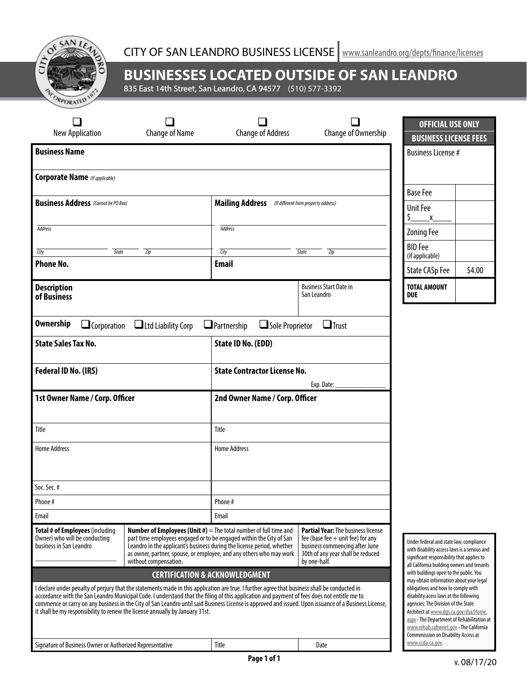

## **BUSINESSES LOCATED OUTSIDE OF SAN LEANDRO**

835 East 14th Street, San Leandro, CA 94577 (510) 577-3392

|                                                                                                                             |                                                                                                                                                                                                                                                                                                                                                                              |                                                                                                                                                                                                                                       |                                                                                                                                                                         | <b>OFFICIAL USE ONLY</b>                                                                                                                                                                                                                                                                    |        |
|-----------------------------------------------------------------------------------------------------------------------------|------------------------------------------------------------------------------------------------------------------------------------------------------------------------------------------------------------------------------------------------------------------------------------------------------------------------------------------------------------------------------|---------------------------------------------------------------------------------------------------------------------------------------------------------------------------------------------------------------------------------------|-------------------------------------------------------------------------------------------------------------------------------------------------------------------------|---------------------------------------------------------------------------------------------------------------------------------------------------------------------------------------------------------------------------------------------------------------------------------------------|--------|
| <b>Change of Name</b><br><b>New Application</b>                                                                             |                                                                                                                                                                                                                                                                                                                                                                              | <b>Change of Address</b><br>Change of Ownership                                                                                                                                                                                       |                                                                                                                                                                         | <b>BUSINESS LICENSE FEES</b>                                                                                                                                                                                                                                                                |        |
| <b>Business Name</b>                                                                                                        |                                                                                                                                                                                                                                                                                                                                                                              |                                                                                                                                                                                                                                       |                                                                                                                                                                         | <b>Business License #</b>                                                                                                                                                                                                                                                                   |        |
| <b>Corporate Name</b> (If applicable)                                                                                       |                                                                                                                                                                                                                                                                                                                                                                              |                                                                                                                                                                                                                                       |                                                                                                                                                                         | <b>Base Fee</b>                                                                                                                                                                                                                                                                             |        |
| <b>Business Address</b> (Cannot be PO Box)                                                                                  |                                                                                                                                                                                                                                                                                                                                                                              | <b>Mailing Address</b><br>(If different from property address)                                                                                                                                                                        |                                                                                                                                                                         | <b>Unit Fee</b><br>Ş.<br>X                                                                                                                                                                                                                                                                  |        |
| <b>Address</b>                                                                                                              |                                                                                                                                                                                                                                                                                                                                                                              | <b>Address</b>                                                                                                                                                                                                                        |                                                                                                                                                                         | <b>Zoning Fee</b>                                                                                                                                                                                                                                                                           |        |
| City<br>State<br>Zip                                                                                                        |                                                                                                                                                                                                                                                                                                                                                                              | City<br>State                                                                                                                                                                                                                         | <b>BID</b> Fee<br>(if applicable)                                                                                                                                       |                                                                                                                                                                                                                                                                                             |        |
| <b>Phone No.</b>                                                                                                            |                                                                                                                                                                                                                                                                                                                                                                              | <b>Email</b>                                                                                                                                                                                                                          |                                                                                                                                                                         | <b>State CASp Fee</b>                                                                                                                                                                                                                                                                       | \$4.00 |
| <b>Description</b><br>of Business                                                                                           |                                                                                                                                                                                                                                                                                                                                                                              |                                                                                                                                                                                                                                       | <b>Business Start Date in</b><br>San Leandro                                                                                                                            | <b>TOTAL AMOUNT</b><br><b>DUE</b>                                                                                                                                                                                                                                                           |        |
| $\Box$ Ltd Liability Corp<br>$\Box$ Partnership<br>$\Box$ Corporation<br><b>State Sales Tax No.</b><br>Federal ID No. (IRS) |                                                                                                                                                                                                                                                                                                                                                                              | State ID No. (EDD)<br><b>State Contractor License No.</b><br>Exp. Date:                                                                                                                                                               |                                                                                                                                                                         |                                                                                                                                                                                                                                                                                             |        |
| 1st Owner Name / Corp. Officer                                                                                              |                                                                                                                                                                                                                                                                                                                                                                              | 2nd Owner Name / Corp. Officer                                                                                                                                                                                                        |                                                                                                                                                                         |                                                                                                                                                                                                                                                                                             |        |
| Title                                                                                                                       |                                                                                                                                                                                                                                                                                                                                                                              | Title                                                                                                                                                                                                                                 |                                                                                                                                                                         |                                                                                                                                                                                                                                                                                             |        |
| <b>Home Address</b>                                                                                                         |                                                                                                                                                                                                                                                                                                                                                                              | <b>Home Address</b>                                                                                                                                                                                                                   |                                                                                                                                                                         |                                                                                                                                                                                                                                                                                             |        |
| Soc. Sec. #                                                                                                                 |                                                                                                                                                                                                                                                                                                                                                                              |                                                                                                                                                                                                                                       |                                                                                                                                                                         |                                                                                                                                                                                                                                                                                             |        |
| Phone #                                                                                                                     |                                                                                                                                                                                                                                                                                                                                                                              | Phone #                                                                                                                                                                                                                               |                                                                                                                                                                         |                                                                                                                                                                                                                                                                                             |        |
| Email                                                                                                                       |                                                                                                                                                                                                                                                                                                                                                                              | Email                                                                                                                                                                                                                                 |                                                                                                                                                                         |                                                                                                                                                                                                                                                                                             |        |
| Total # of Employees (including<br>Owner) who will be conducting<br>business in San Leandro                                 | part time employees engaged or to be engaged within the City of San<br>without compensation.                                                                                                                                                                                                                                                                                 | <b>Number of Employees (Unit <math>#</math>)</b> = The total number of full time and<br>Leandro in the applicant's business during the license period, whether<br>as owner, partner, spouse, or employee, and any others who may work | <b>Partial Year: The business license</b><br>fee (base fee $+$ unit fee) for any<br>business commencing after June<br>30th of any year shall be reduced<br>by one-half. | Under federal and state law, compliance<br>with disability access laws is a serious and<br>significant responsibility that applies to<br>all California building owners and tenants                                                                                                         |        |
|                                                                                                                             |                                                                                                                                                                                                                                                                                                                                                                              | <b>CERTIFICATION &amp; ACKNOWLEDGMENT</b>                                                                                                                                                                                             |                                                                                                                                                                         | with buildings open to the public. You<br>may obtain information about your legal                                                                                                                                                                                                           |        |
|                                                                                                                             | I declare under penalty of perjury that the statements made in this application are true. I further agree that business shall be conducted in<br>accordance with the San Leandro Municipal Code. I understand that the filing of this application and payment of fees does not entitle me to<br>it shall be my responsibility to renew the license annually by January 31st. |                                                                                                                                                                                                                                       | commence or carry on any business in the City of San Leandro until said Business License is approved and issued. Upon issuance of a Business License,                   | obligations and how to comply with<br>disability acess laws at the following<br>agencies: The Division of the State<br>Architect at www.dgs.ca.gov/dsa/Home.<br>aspx - The Department of Rehabilitation at<br>www.rehab.cahwnet.gov - The California<br>Commmission on Disability Access at |        |
| Signature of Business Owner or Authorized Representative                                                                    |                                                                                                                                                                                                                                                                                                                                                                              | Title                                                                                                                                                                                                                                 | Date                                                                                                                                                                    | www.ccda.ca.gov.                                                                                                                                                                                                                                                                            |        |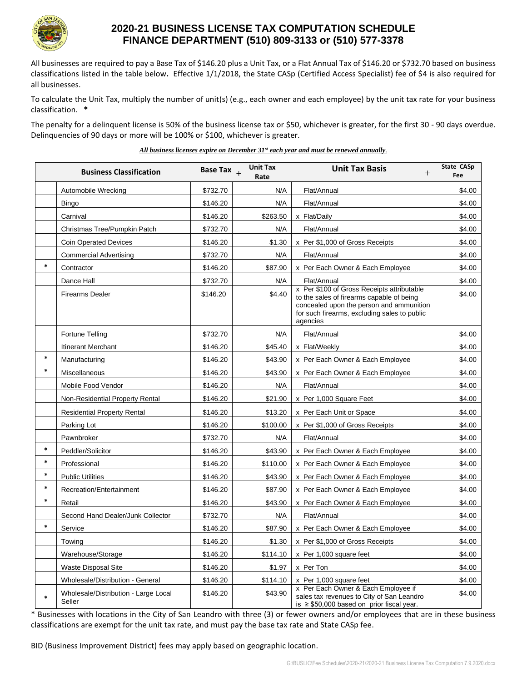

## **2020-21 BUSINESS LICENSE TAX COMPUTATION SCHEDULE FINANCE DEPARTMENT (510) 809-3133 or (510) 577-3378**

All businesses are required to pay a Base Tax of \$146.20 plus a Unit Tax, or a Flat Annual Tax of \$146.20 or \$732.70 based on business classifications listed in the table below**.** Effective 1/1/2018, the State CASp (Certified Access Specialist) fee of \$4 is also required for all businesses.

To calculate the Unit Tax, multiply the number of unit(s) (e.g., each owner and each employee) by the unit tax rate for your business classification. **\***

The penalty for a delinquent license is 50% of the business license tax or \$50, whichever is greater, for the first 30 - 90 days overdue. Delinquencies of 90 days or more will be 100% or \$100, whichever is greater.

*All business licenses expire on December 31st each year and must be renewed annually.*

|        | <b>Business Classification</b>                 | Base Tax $_{+}$ | <b>Unit Tax</b><br>Rate | <b>Unit Tax Basis</b><br>$^{+}$                                                                                                                                                                 | <b>State CASp</b><br><b>Fee</b> |
|--------|------------------------------------------------|-----------------|-------------------------|-------------------------------------------------------------------------------------------------------------------------------------------------------------------------------------------------|---------------------------------|
|        | Automobile Wrecking                            | \$732.70        | N/A                     | Flat/Annual                                                                                                                                                                                     | \$4.00                          |
|        | <b>Bingo</b>                                   | \$146.20        | N/A                     | Flat/Annual                                                                                                                                                                                     | \$4.00                          |
|        | Carnival                                       | \$146.20        | \$263.50                | x Flat/Daily                                                                                                                                                                                    | \$4.00                          |
|        | Christmas Tree/Pumpkin Patch                   | \$732.70        | N/A                     | Flat/Annual                                                                                                                                                                                     | \$4.00                          |
|        | <b>Coin Operated Devices</b>                   | \$146.20        | \$1.30                  | x Per \$1,000 of Gross Receipts                                                                                                                                                                 | \$4.00                          |
|        | <b>Commercial Advertising</b>                  | \$732.70        | N/A                     | Flat/Annual                                                                                                                                                                                     | \$4.00                          |
| $\ast$ | Contractor                                     | \$146.20        | \$87.90                 | x Per Each Owner & Each Employee                                                                                                                                                                | \$4.00                          |
|        | Dance Hall                                     | \$732.70        | N/A                     | Flat/Annual                                                                                                                                                                                     | \$4.00                          |
|        | <b>Firearms Dealer</b>                         | \$146.20        | \$4.40                  | x Per \$100 of Gross Receipts attributable<br>to the sales of firearms capable of being<br>concealed upon the person and ammunition<br>for such firearms, excluding sales to public<br>agencies | \$4.00                          |
|        | Fortune Telling                                | \$732.70        | N/A                     | Flat/Annual                                                                                                                                                                                     | \$4.00                          |
|        | Itinerant Merchant                             | \$146.20        | \$45.40                 | x Flat/Weekly                                                                                                                                                                                   | \$4.00                          |
| *      | Manufacturing                                  | \$146.20        | \$43.90                 | x Per Each Owner & Each Employee                                                                                                                                                                | \$4.00                          |
| $\ast$ | Miscellaneous                                  | \$146.20        | \$43.90                 | x Per Each Owner & Each Employee                                                                                                                                                                | \$4.00                          |
|        | Mobile Food Vendor                             | \$146.20        | N/A                     | Flat/Annual                                                                                                                                                                                     | \$4.00                          |
|        | Non-Residential Property Rental                | \$146.20        | \$21.90                 | x Per 1,000 Square Feet                                                                                                                                                                         | \$4.00                          |
|        | <b>Residential Property Rental</b>             | \$146.20        | \$13.20                 | x Per Each Unit or Space                                                                                                                                                                        | \$4.00                          |
|        | Parking Lot                                    | \$146.20        | \$100.00                | x Per \$1,000 of Gross Receipts                                                                                                                                                                 | \$4.00                          |
|        | Pawnbroker                                     | \$732.70        | N/A                     | Flat/Annual                                                                                                                                                                                     | \$4.00                          |
| $\ast$ | Peddler/Solicitor                              | \$146.20        | \$43.90                 | x Per Each Owner & Each Employee                                                                                                                                                                | \$4.00                          |
| $\ast$ | Professional                                   | \$146.20        | \$110.00                | x Per Each Owner & Each Employee                                                                                                                                                                | \$4.00                          |
| $\ast$ | <b>Public Utilities</b>                        | \$146.20        | \$43.90                 | x Per Each Owner & Each Employee                                                                                                                                                                | \$4.00                          |
| $\ast$ | Recreation/Entertainment                       | \$146.20        | \$87.90                 | x Per Each Owner & Each Employee                                                                                                                                                                | \$4.00                          |
| $\ast$ | Retail                                         | \$146.20        | \$43.90                 | x Per Each Owner & Each Employee                                                                                                                                                                | \$4.00                          |
|        | Second Hand Dealer/Junk Collector              | \$732.70        | N/A                     | Flat/Annual                                                                                                                                                                                     | \$4.00                          |
| $\ast$ | Service                                        | \$146.20        | \$87.90                 | x Per Each Owner & Each Employee                                                                                                                                                                | \$4.00                          |
|        | Towing                                         | \$146.20        | \$1.30                  | x Per \$1,000 of Gross Receipts                                                                                                                                                                 | \$4.00                          |
|        | Warehouse/Storage                              | \$146.20        | \$114.10                | x Per 1,000 square feet                                                                                                                                                                         | \$4.00                          |
|        | <b>Waste Disposal Site</b>                     | \$146.20        | \$1.97                  | x Per Ton                                                                                                                                                                                       | \$4.00                          |
|        | Wholesale/Distribution - General               | \$146.20        | \$114.10                | x Per 1,000 square feet                                                                                                                                                                         | \$4.00                          |
| $\ast$ | Wholesale/Distribution - Large Local<br>Seller | \$146.20        | \$43.90                 | x Per Each Owner & Each Employee if<br>sales tax revenues to City of San Leandro<br>is $\geq$ \$50,000 based on prior fiscal year.                                                              | \$4.00                          |

\* Businesses with locations in the City of San Leandro with three (3) or fewer owners and/or employees that are in these business classifications are exempt for the unit tax rate, and must pay the base tax rate and State CASp fee.

BID (Business Improvement District) fees may apply based on geographic location.